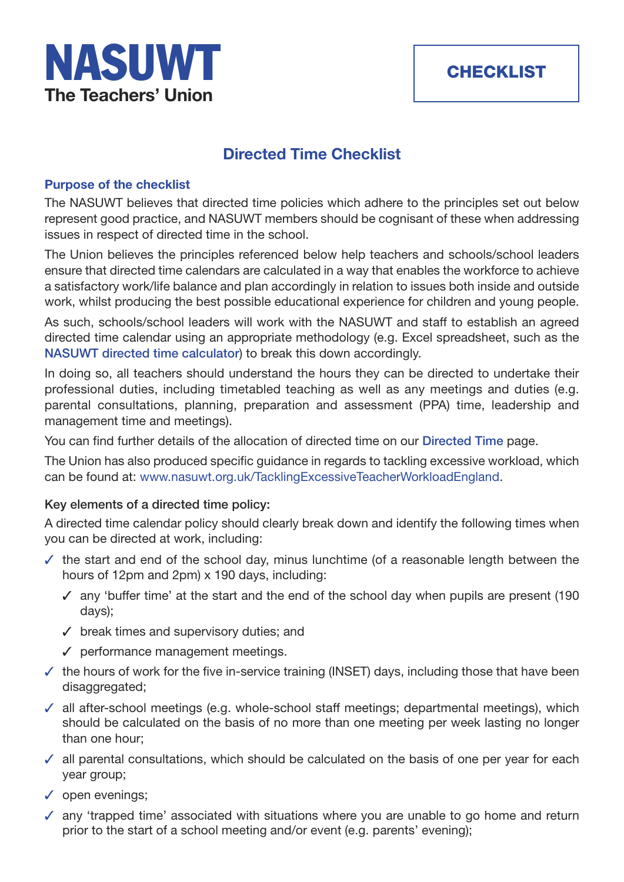

# **Directed Time Checklist**

## **Purpose of the checklist**

The NASUWT believes that directed time policies which adhere to the principles set out below represent good practice, and NASUWT members should be cognisant of these when addressing issues in respect of directed time in the school.

The Union believes the principles referenced below help teachers and schools/school leaders ensure that directed time calendars are calculated in a way that enables the workforce to achieve a satisfactory work/life balance and plan accordingly in relation to issues both inside and outside work, whilst producing the best possible educational experience for children and young people.

As such, schools/school leaders will work with the NASUWT and staff to establish an agreed directed time calendar using an appropriate methodology (e.g. Excel spreadsheet, such as the **NASUWT directed time calculator**) to break this down accordingly.

In doing so, all teachers should understand the hours they can be directed to undertake their professional duties, including timetabled teaching as well as any meetings and duties (e.g. [parental consultations, planning,](https://www.nasuwt.org.uk/advice/conditions-of-service/teachers-working-hours/directed-time-england.html) preparation and assessment (PPA) time, leadership and management time and meetings).

You can find further details of the allocation of directed time on our **Directed Time** page.

The Union has also produced specific guidance in regards to tackling excessive workload, which can be found at: www.nasuwt.org.uk/TacklingExcessiveTeacherW[orkloadEngland.](https://www.nasuwt.org.uk/advice/conditions-of-service/teachers-working-hours/directed-time-england.html)

## **Key elements of a directed time policy:**

A directed time [calendar policy should clearly break down and identify the followin](https://www.nasuwt.org.uk/advice/conditions-of-service/workload/tackling-excessive-teacher-workload-england-wales.html)g times when you can be directed at work, including:

- $\checkmark$  the start and end of the school day, minus lunchtime (of a reasonable length between the hours of 12pm and 2pm) x 190 days, including:
	- $\checkmark$  any 'buffer time' at the start and the end of the school day when pupils are present (190 days);
	- $\checkmark$  break times and supervisory duties; and
	- $\checkmark$  performance management meetings.
- $\checkmark$  the hours of work for the five in-service training (INSET) days, including those that have been disaggregated;
- $\checkmark$  all after-school meetings (e.g. whole-school staff meetings; departmental meetings), which should be calculated on the basis of no more than one meeting per week lasting no longer than one hour;
- $\checkmark$  all parental consultations, which should be calculated on the basis of one per year for each year group;
- $\checkmark$  open evenings;
- $\sqrt{ }$  any 'trapped time' associated with situations where you are unable to go home and return prior to the start of a school meeting and/or event (e.g. parents' evening);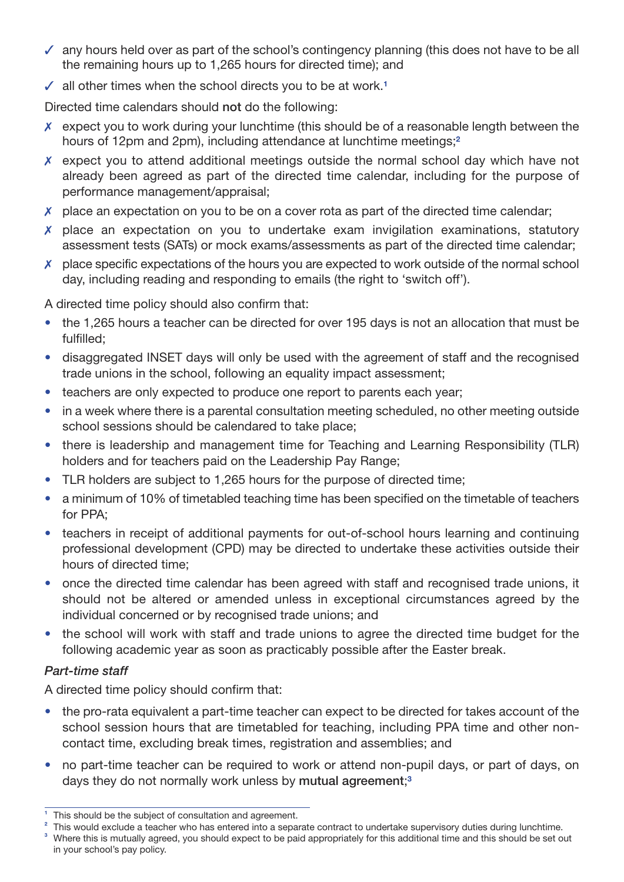- $\checkmark$  any hours held over as part of the school's contingency planning (this does not have to be all the remaining hours up to 1,265 hours for directed time); and
- $\checkmark$  all other times when the school directs you to be at work.<sup>1</sup>

Directed time calendars should **not** do the following:

- $\chi$  expect you to work during your lunchtime (this should be of a reasonable length between the hours of 12pm and 2pm), including attendance at lunchtime meetings;**<sup>2</sup>**
- $\chi$  expect you to attend additional meetings outside the normal school day which have not already been agreed as part of the directed time calendar, including for the purpose of performance management/appraisal;
- $\chi$  place an expectation on you to be on a cover rota as part of the directed time calendar;
- 7 place an expectation on you to undertake exam invigilation examinations, statutory assessment tests (SATs) or mock exams/assessments as part of the directed time calendar;
- $\chi$  place specific expectations of the hours you are expected to work outside of the normal school day, including reading and responding to emails (the right to 'switch off').

A directed time policy should also confirm that:

- the 1,265 hours a teacher can be directed for over 195 days is not an allocation that must be fulfilled;
- disaggregated INSET days will only be used with the agreement of staff and the recognised trade unions in the school, following an equality impact assessment;
- teachers are only expected to produce one report to parents each year;
- in a week where there is a parental consultation meeting scheduled, no other meeting outside school sessions should be calendared to take place;
- there is leadership and management time for Teaching and Learning Responsibility (TLR) holders and for teachers paid on the Leadership Pay Range;
- TLR holders are subject to 1,265 hours for the purpose of directed time;
- a minimum of 10% of timetabled teaching time has been specified on the timetable of teachers for PPA;
- teachers in receipt of additional payments for out-of-school hours learning and continuing professional development (CPD) may be directed to undertake these activities outside their hours of directed time;
- once the directed time calendar has been agreed with staff and recognised trade unions, it should not be altered or amended unless in exceptional circumstances agreed by the individual concerned or by recognised trade unions; and
- the school will work with staff and trade unions to agree the directed time budget for the following academic year as soon as practicably possible after the Easter break.

# *Part-time staff*

A directed time policy should confirm that:

- the pro-rata equivalent a part-time teacher can expect to be directed for takes account of the school session hours that are timetabled for teaching, including PPA time and other noncontact time, excluding break times, registration and assemblies; and
- no part-time teacher can be required to work or attend non-pupil days, or part of days, on days they do not normally work unless by **mutual agreement**; **3**

**<sup>1</sup>** This should be the subject of consultation and agreement.

<sup>&</sup>lt;sup>2</sup> This would exclude a teacher who has entered into a separate contract to undertake supervisory duties during lunchtime.

**<sup>3</sup>** Where this is mutually agreed, you should expect to be paid appropriately for this additional time and this should be set out in your school's pay policy.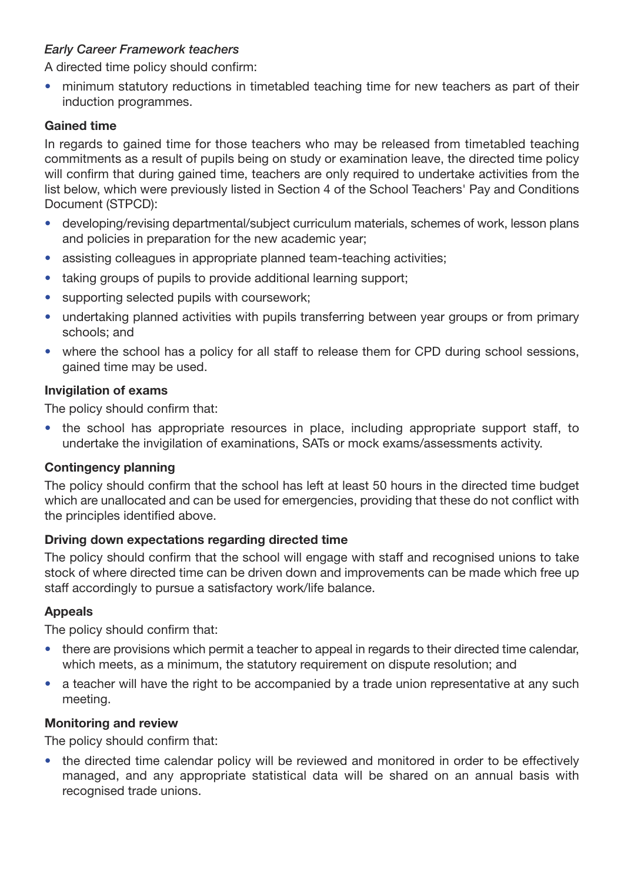# *Early Career Framework teachers*

A directed time policy should confirm:

• minimum statutory reductions in timetabled teaching time for new teachers as part of their induction programmes.

## **Gained time**

In regards to gained time for those teachers who may be released from timetabled teaching commitments as a result of pupils being on study or examination leave, the directed time policy will confirm that during gained time, teachers are only required to undertake activities from the list below, which were previously listed in Section 4 of the School Teachers' Pay and Conditions Document (STPCD):

- developing/revising departmental/subject curriculum materials, schemes of work, lesson plans and policies in preparation for the new academic year;
- assisting colleagues in appropriate planned team-teaching activities;
- taking groups of pupils to provide additional learning support;
- supporting selected pupils with coursework:
- undertaking planned activities with pupils transferring between year groups or from primary schools; and
- where the school has a policy for all staff to release them for CPD during school sessions, gained time may be used.

#### **Invigilation of exams**

The policy should confirm that:

• the school has appropriate resources in place, including appropriate support staff, to undertake the invigilation of examinations, SATs or mock exams/assessments activity.

#### **Contingency planning**

The policy should confirm that the school has left at least 50 hours in the directed time budget which are unallocated and can be used for emergencies, providing that these do not conflict with the principles identified above.

#### **Driving down expectations regarding directed time**

The policy should confirm that the school will engage with staff and recognised unions to take stock of where directed time can be driven down and improvements can be made which free up staff accordingly to pursue a satisfactory work/life balance.

#### **Appeals**

The policy should confirm that:

- there are provisions which permit a teacher to appeal in regards to their directed time calendar, which meets, as a minimum, the statutory requirement on dispute resolution; and
- a teacher will have the right to be accompanied by a trade union representative at any such meeting.

#### **Monitoring and review**

The policy should confirm that:

• the directed time calendar policy will be reviewed and monitored in order to be effectively managed, and any appropriate statistical data will be shared on an annual basis with recognised trade unions.